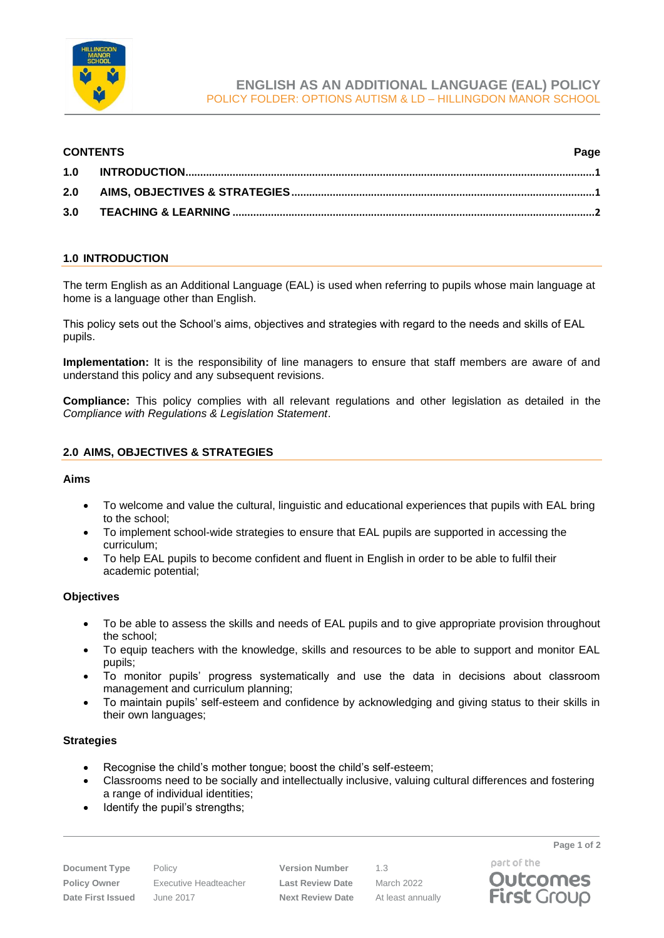

## **CONTENTS Page**

# <span id="page-0-0"></span>**1.0 INTRODUCTION**

The term English as an Additional Language (EAL) is used when referring to pupils whose main language at home is a language other than English.

This policy sets out the School's aims, objectives and strategies with regard to the needs and skills of EAL pupils.

**Implementation:** It is the responsibility of line managers to ensure that staff members are aware of and understand this policy and any subsequent revisions.

**Compliance:** This policy complies with all relevant regulations and other legislation as detailed in the *Compliance with Regulations & Legislation Statement*.

## <span id="page-0-1"></span>**2.0 AIMS, OBJECTIVES & STRATEGIES**

#### **Aims**

- To welcome and value the cultural, linguistic and educational experiences that pupils with EAL bring to the school;
- To implement school-wide strategies to ensure that EAL pupils are supported in accessing the curriculum;
- To help EAL pupils to become confident and fluent in English in order to be able to fulfil their academic potential;

#### **Objectives**

- To be able to assess the skills and needs of EAL pupils and to give appropriate provision throughout the school;
- To equip teachers with the knowledge, skills and resources to be able to support and monitor EAL pupils;
- To monitor pupils' progress systematically and use the data in decisions about classroom management and curriculum planning;
- To maintain pupils' self-esteem and confidence by acknowledging and giving status to their skills in their own languages;

#### **Strategies**

- Recognise the child's mother tongue; boost the child's self-esteem;
- Classrooms need to be socially and intellectually inclusive, valuing cultural differences and fostering a range of individual identities;
- Identify the pupil's strengths;

**Policy Owner** Executive Headteacher **Last Review Date** March 2022 **Date First Issued** June 2017 **Next Review Date** At least annually

**Document Type** Policy **Version Number** 1.3

part of the **Outcomes First Group** 

**Page 1 of 2**